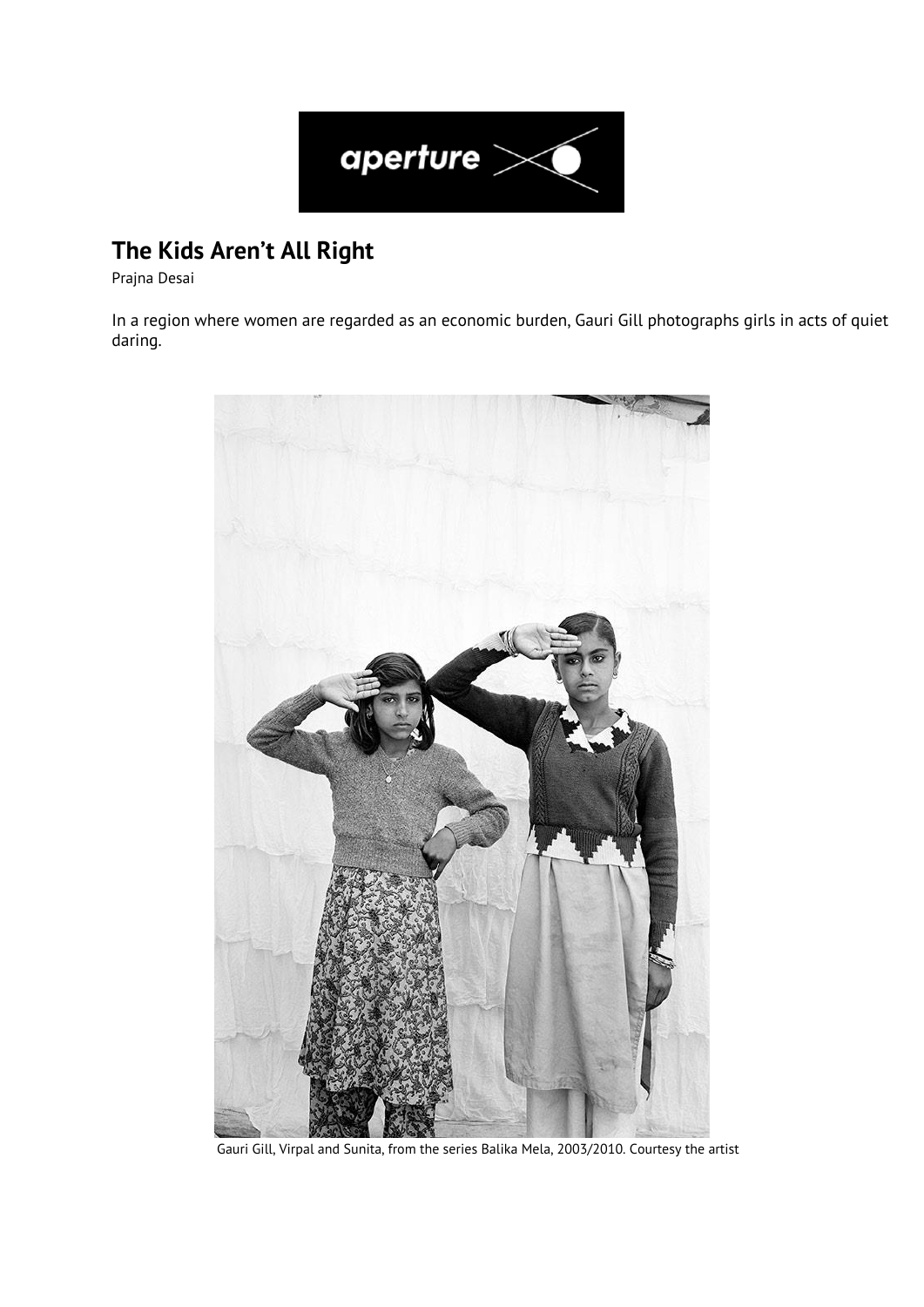

## **The Kids Aren't All Right**

Prajna Desai

In a region where women are regarded as an economic burden, Gauri Gill photographs girls in acts of quiet daring.



Gauri Gill, Virpal and Sunita, from the series Balika Mela, 2003/2010. Courtesy the artist